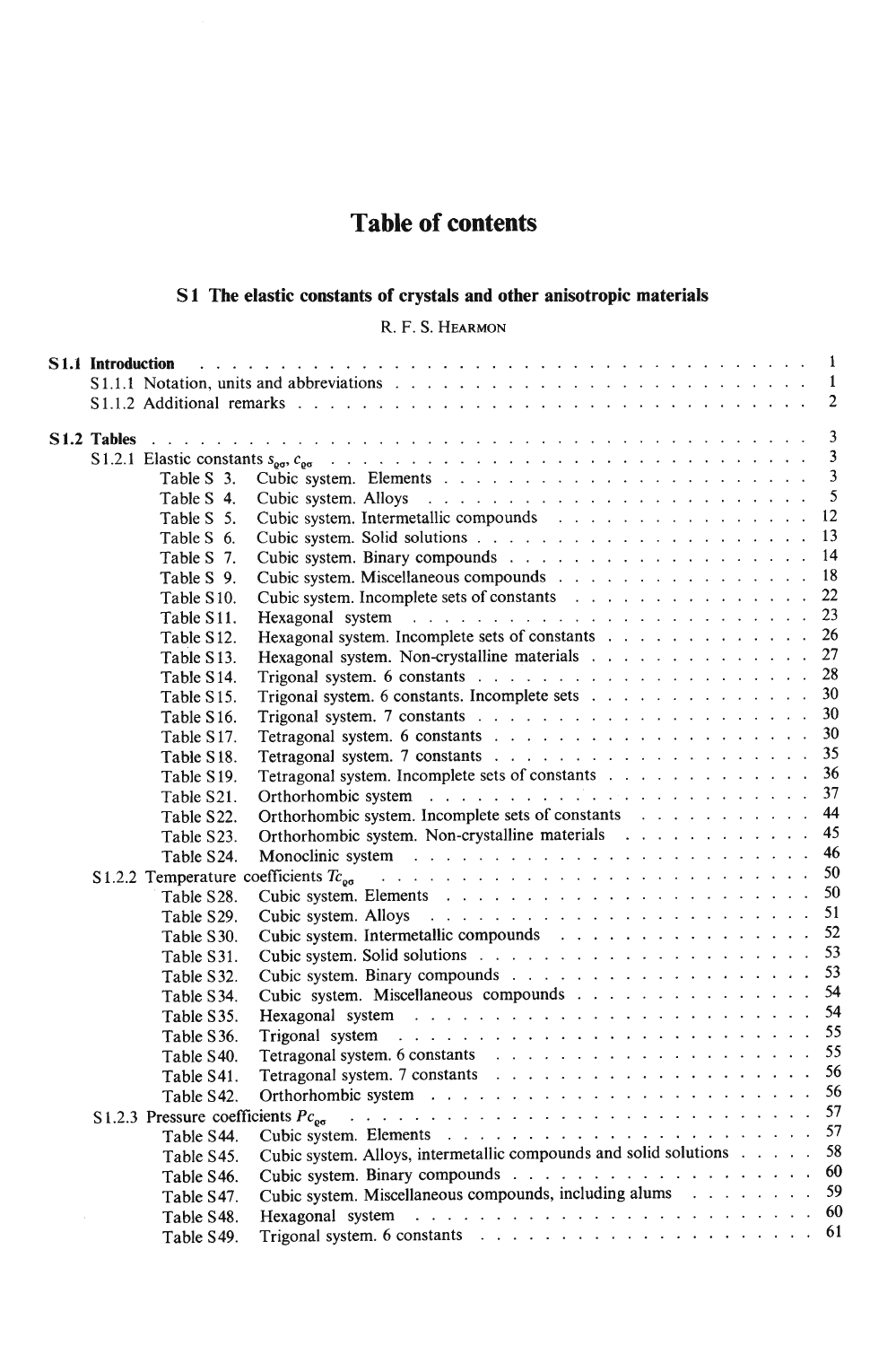# **Table of contents**

## S1 The elastic constants of crystals and other anisotropic materials

R.F.S. HEARMON

|  |                          | $\overline{2}$                                                                                                                                                                                                                |  |
|--|--------------------------|-------------------------------------------------------------------------------------------------------------------------------------------------------------------------------------------------------------------------------|--|
|  |                          | $\overline{3}$                                                                                                                                                                                                                |  |
|  |                          | $\overline{3}$                                                                                                                                                                                                                |  |
|  |                          | $\overline{3}$                                                                                                                                                                                                                |  |
|  |                          | 5                                                                                                                                                                                                                             |  |
|  | Table S 4.<br>Table S 5. | -12                                                                                                                                                                                                                           |  |
|  | Table S 6.               | 13                                                                                                                                                                                                                            |  |
|  | Table S 7.               |                                                                                                                                                                                                                               |  |
|  | Table S 9.               | Cubic system. Miscellaneous compounds 18                                                                                                                                                                                      |  |
|  | Table S10.               | Cubic system. Incomplete sets of constants 22                                                                                                                                                                                 |  |
|  | Table S11.               |                                                                                                                                                                                                                               |  |
|  | Table S12.               | Hexagonal system. Incomplete sets of constants 26                                                                                                                                                                             |  |
|  | Table S13.               | Hexagonal system. Non-crystalline materials 27                                                                                                                                                                                |  |
|  | Table S14.               |                                                                                                                                                                                                                               |  |
|  | Table S15.               | Trigonal system. 6 constants. Incomplete sets 30                                                                                                                                                                              |  |
|  | Table S16.               |                                                                                                                                                                                                                               |  |
|  | Table S17.               |                                                                                                                                                                                                                               |  |
|  | Table S18.               |                                                                                                                                                                                                                               |  |
|  | Table S19.               | Tetragonal system. Incomplete sets of constants 36                                                                                                                                                                            |  |
|  | Table S21.               | Orthorhombic system resources and contact the contract of the contract of the contract of the contract of the contract of the contract of the contract of the contract of the contract of the contract of the contract of the |  |
|  | Table S22.               | Orthorhombic system. Incomplete sets of constants 44                                                                                                                                                                          |  |
|  | Table S23.               | Orthorhombic system. Non-crystalline materials 45                                                                                                                                                                             |  |
|  | Table S24.               |                                                                                                                                                                                                                               |  |
|  |                          |                                                                                                                                                                                                                               |  |
|  | Table S28.               |                                                                                                                                                                                                                               |  |
|  | Table S29.               |                                                                                                                                                                                                                               |  |
|  | Table S30.               | Cubic system. Intermetallic compounds 52                                                                                                                                                                                      |  |
|  | Table S31.               |                                                                                                                                                                                                                               |  |
|  | Table S32.               |                                                                                                                                                                                                                               |  |
|  | Table S34.               | Cubic system. Miscellaneous compounds 54                                                                                                                                                                                      |  |
|  | Table S35.               |                                                                                                                                                                                                                               |  |
|  | Table S36.               |                                                                                                                                                                                                                               |  |
|  | Table S40.               |                                                                                                                                                                                                                               |  |
|  | Table S41.               |                                                                                                                                                                                                                               |  |
|  | Table S42.               |                                                                                                                                                                                                                               |  |
|  |                          |                                                                                                                                                                                                                               |  |
|  | Table S44.               |                                                                                                                                                                                                                               |  |
|  | Table S45.               | Cubic system. Alloys, intermetallic compounds and solid solutions 58                                                                                                                                                          |  |
|  | Table S46.               |                                                                                                                                                                                                                               |  |
|  |                          | Cubic system. Miscellaneous compounds, including alums 59                                                                                                                                                                     |  |
|  | Table S47.               |                                                                                                                                                                                                                               |  |
|  | Table S48.               |                                                                                                                                                                                                                               |  |
|  | Table S49.               |                                                                                                                                                                                                                               |  |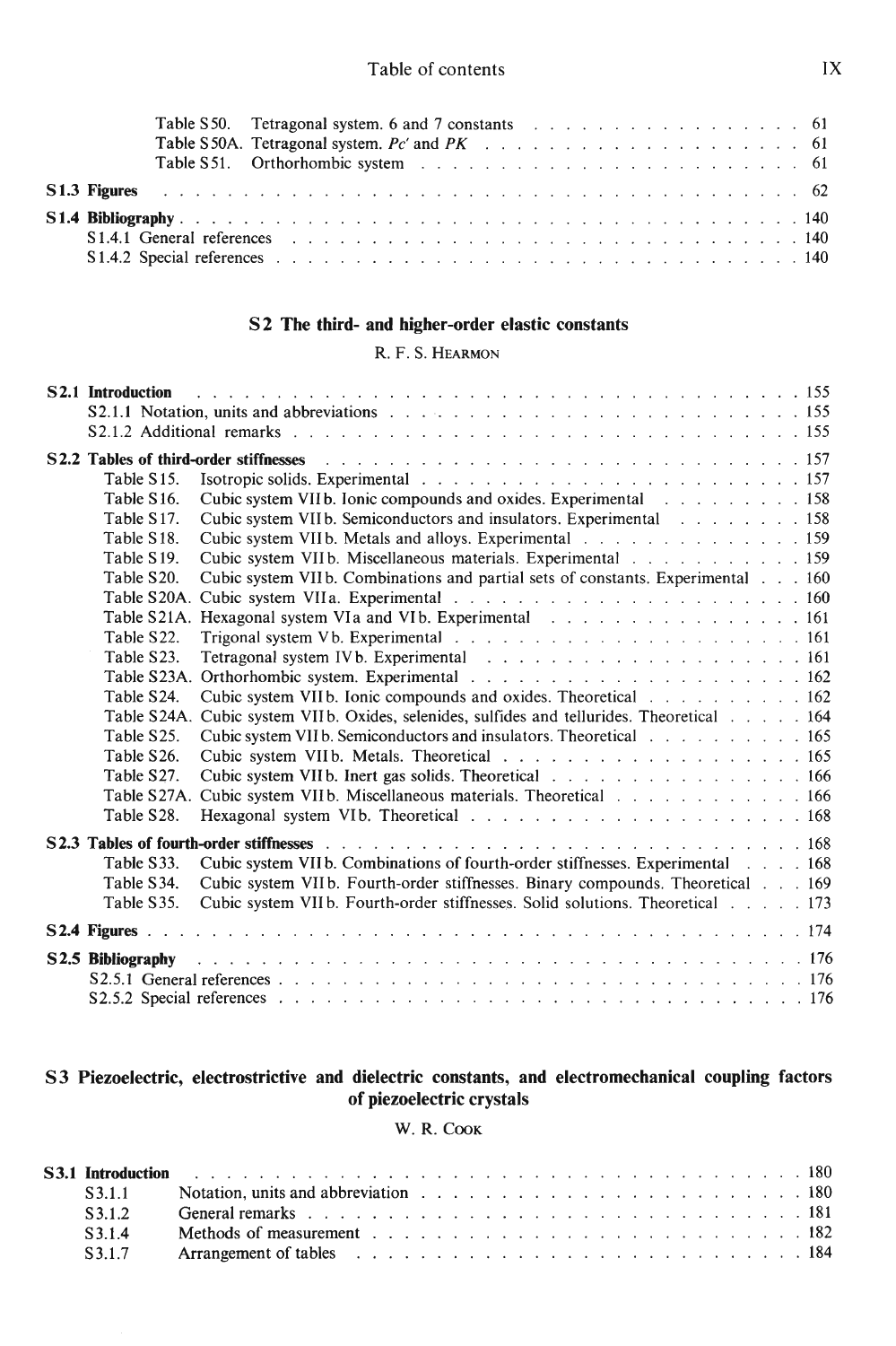|                                                                                                                                                                                                                                | Table S50. Tetragonal system. 6 and 7 constants resources in the contract of the S50. |  |  |  |  |  |  |
|--------------------------------------------------------------------------------------------------------------------------------------------------------------------------------------------------------------------------------|---------------------------------------------------------------------------------------|--|--|--|--|--|--|
|                                                                                                                                                                                                                                |                                                                                       |  |  |  |  |  |  |
|                                                                                                                                                                                                                                |                                                                                       |  |  |  |  |  |  |
|                                                                                                                                                                                                                                |                                                                                       |  |  |  |  |  |  |
|                                                                                                                                                                                                                                |                                                                                       |  |  |  |  |  |  |
| S1.4.1 General references entertainment and the state of the state of the state of the state of the state of the state of the state of the state of the state of the state of the state of the state of the state of the state |                                                                                       |  |  |  |  |  |  |
|                                                                                                                                                                                                                                |                                                                                       |  |  |  |  |  |  |

#### S2 The third- and higher-order elastic constants

#### R.F.S.Hearmon

|                         | <b>S2.1 Introduction</b> because the contract of the contract of the contract of the contract of the contract of the contract of the contract of the contract of the contract of the contract of the contract of the contract of th |
|-------------------------|-------------------------------------------------------------------------------------------------------------------------------------------------------------------------------------------------------------------------------------|
|                         | S2.1.1 Notation, units and abbreviations entering the set of the set of the set of the set of the set of the set of the set of the set of the set of the set of the set of the set of the set of the set of the set of the set      |
|                         |                                                                                                                                                                                                                                     |
|                         | S2.2 Tables of third-order stiffnesses                                                                                                                                                                                              |
| Table S15.              |                                                                                                                                                                                                                                     |
| Table S16.              | Cubic system VIIb. Ionic compounds and oxides. Experimental 158                                                                                                                                                                     |
| Table S17.              | Cubic system VIIb. Semiconductors and insulators. Experimental 158                                                                                                                                                                  |
| Table S18.              | Cubic system VIIb. Metals and alloys. Experimental 159                                                                                                                                                                              |
| Table S <sub>19</sub> . | Cubic system VIIb. Miscellaneous materials. Experimental 159                                                                                                                                                                        |
| Table S20.              | Cubic system VIIb. Combinations and partial sets of constants. Experimental 160                                                                                                                                                     |
|                         |                                                                                                                                                                                                                                     |
|                         | Table S21A. Hexagonal system VIa and VIb. Experimental resources and set of the S21A. Hexagonal system VIa and VIb. Experimental resources and set of the S21A.                                                                     |
| Table S22.              | Trigonal system Vb. Experimental resources and resources and resources and 161                                                                                                                                                      |
| Table S23.              |                                                                                                                                                                                                                                     |
| Table S23A.             |                                                                                                                                                                                                                                     |
| Table S24.              | Cubic system VIIb. Ionic compounds and oxides. Theoretical 162                                                                                                                                                                      |
|                         | Table S24A. Cubic system VIIb. Oxides, selenides, sulfides and tellurides. Theoretical 164                                                                                                                                          |
| Table S25.              | Cubic system VII b. Semiconductors and insulators. Theoretical 165                                                                                                                                                                  |
| Table S26.              |                                                                                                                                                                                                                                     |
| Table S27.              | Cubic system VIIb. Inert gas solids. Theoretical 166                                                                                                                                                                                |
| Table S27A.             | Cubic system VIIb. Miscellaneous materials. Theoretical 166                                                                                                                                                                         |
| Table S28.              |                                                                                                                                                                                                                                     |
|                         |                                                                                                                                                                                                                                     |
| Table S33.              | Cubic system VIIb. Combinations of fourth-order stiffnesses. Experimental 168                                                                                                                                                       |
| Table S34.              | Cubic system VIIb. Fourth-order stiffnesses. Binary compounds. Theoretical 169                                                                                                                                                      |
| Table S35.              | Cubic system VII b. Fourth-order stiffnesses. Solid solutions. Theoretical 173                                                                                                                                                      |
|                         |                                                                                                                                                                                                                                     |
| S2.5 Bibliography       |                                                                                                                                                                                                                                     |
|                         |                                                                                                                                                                                                                                     |
|                         | S2.5.2 Special references resources and the contract of the contract of the contract of the contract of the contract of the contract of the contract of the contract of the contract of the contract of the contract of the co      |

#### S3 Piezoelectric, electrostrictive and dielectric constants, and electromechanical coupling factors of piezoelectric crystals

#### W.R.Cook

|              | S3.1.1 Notation, units and abbreviation $\ldots$ , $\ldots$ , $\ldots$ , $\ldots$ , $\ldots$ , $\ldots$ , $\ldots$ , $\ldots$ , 180                                                                                            |  |
|--------------|--------------------------------------------------------------------------------------------------------------------------------------------------------------------------------------------------------------------------------|--|
| $\sqrt{312}$ | General remarks responses in the contract of the contract of the contract of the contract of the contract of the contract of the contract of the contract of the contract of the contract of the contract of the contract of t |  |
| S314         | Methods of measurement entering contained and the contained and the contact of the contact of the contact of the contact of the contact of the contact of the contact of the contact of the contact of the contact of the cont |  |
|              |                                                                                                                                                                                                                                |  |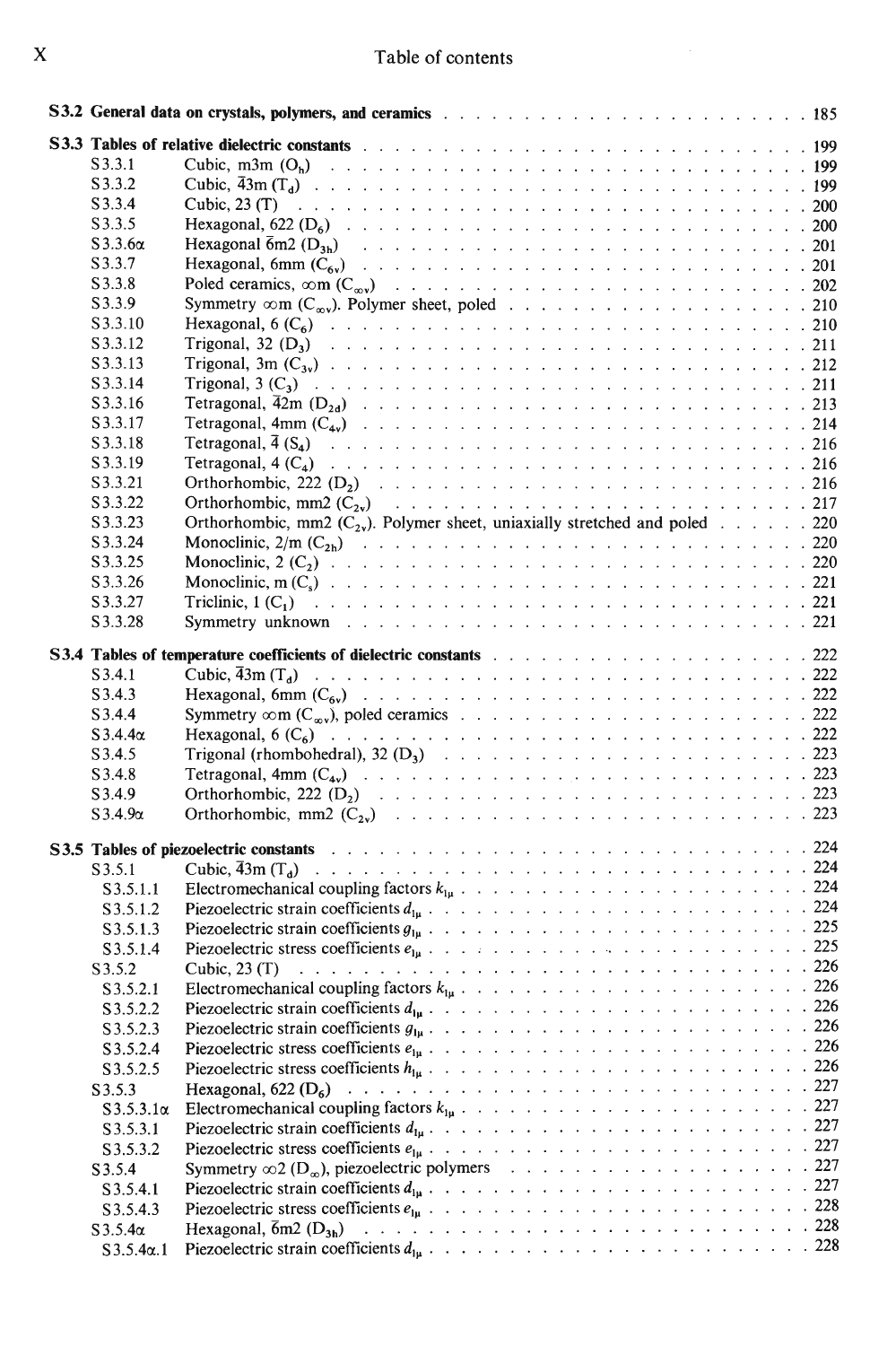|  |  | Table of contents |
|--|--|-------------------|
|  |  |                   |

 $\frac{1}{2} \left( \frac{1}{2} \right)$ 

| S3.3.1           |                                                                                                                                                                                        |  |
|------------------|----------------------------------------------------------------------------------------------------------------------------------------------------------------------------------------|--|
| S3.3.2           |                                                                                                                                                                                        |  |
| S3.3.4           |                                                                                                                                                                                        |  |
| S3.3.5           |                                                                                                                                                                                        |  |
| $S3.3.6\alpha$   |                                                                                                                                                                                        |  |
| S3.3.7           |                                                                                                                                                                                        |  |
| S3.3.8           |                                                                                                                                                                                        |  |
| S3.3.9           |                                                                                                                                                                                        |  |
| S3.3.10          |                                                                                                                                                                                        |  |
| S3.3.12          |                                                                                                                                                                                        |  |
| S3.3.13          |                                                                                                                                                                                        |  |
| S3.3.14          |                                                                                                                                                                                        |  |
| S3.3.16          |                                                                                                                                                                                        |  |
| S3.3.17          |                                                                                                                                                                                        |  |
| S3.3.18          |                                                                                                                                                                                        |  |
| S3.3.19          |                                                                                                                                                                                        |  |
| S3.3.21          |                                                                                                                                                                                        |  |
| S3.3.22          |                                                                                                                                                                                        |  |
| S3.3.23          | Orthorhombic, mm2 $(C_{2v})$ . Polymer sheet, uniaxially stretched and poled 220                                                                                                       |  |
| S3.3.24          |                                                                                                                                                                                        |  |
| S3.3.25          |                                                                                                                                                                                        |  |
| S3.3.26          |                                                                                                                                                                                        |  |
| S3.3.27          |                                                                                                                                                                                        |  |
| S3.3.28          |                                                                                                                                                                                        |  |
|                  |                                                                                                                                                                                        |  |
|                  | <b>S3.4 Tables of temperature coefficients of dielectric constants</b> and a series and a series of temperature coefficients of dielectric constants and a series of the series of 222 |  |
| S3.4.1           |                                                                                                                                                                                        |  |
| S3.4.3           |                                                                                                                                                                                        |  |
| S3.4.4           |                                                                                                                                                                                        |  |
| $S3.4.4\alpha$   |                                                                                                                                                                                        |  |
| S3.4.5           |                                                                                                                                                                                        |  |
| S3.4.8           |                                                                                                                                                                                        |  |
| S3.4.9           |                                                                                                                                                                                        |  |
| $S3.4.9\alpha$   |                                                                                                                                                                                        |  |
|                  |                                                                                                                                                                                        |  |
|                  |                                                                                                                                                                                        |  |
| S3.5.1           |                                                                                                                                                                                        |  |
| S3.5.1.1         |                                                                                                                                                                                        |  |
| S3.5.1.2         |                                                                                                                                                                                        |  |
| S3.5.1.3         |                                                                                                                                                                                        |  |
| S3.5.1.4         | Piezoelectric stress coefficients $e_{1\mu}$ ,         225                                                                                                                             |  |
| S3.5.2           | Cubic, $23(T)$                                                                                                                                                                         |  |
| S3.5.2.1         |                                                                                                                                                                                        |  |
| S3.5.2.2         |                                                                                                                                                                                        |  |
| S3.5.2.3         |                                                                                                                                                                                        |  |
| S3.5.2.4         |                                                                                                                                                                                        |  |
| S3.5.2.5         |                                                                                                                                                                                        |  |
| S3.5.3           |                                                                                                                                                                                        |  |
| $S3.5.3.1\alpha$ |                                                                                                                                                                                        |  |
| S3.5.3.1         |                                                                                                                                                                                        |  |
| S3.5.3.2         |                                                                                                                                                                                        |  |
| S3.5.4           |                                                                                                                                                                                        |  |
| S3.5.4.1         |                                                                                                                                                                                        |  |
| S3.5.4.3         |                                                                                                                                                                                        |  |
| $S3.5.4\alpha$   |                                                                                                                                                                                        |  |
| $S3.5.4\alpha.1$ |                                                                                                                                                                                        |  |
|                  |                                                                                                                                                                                        |  |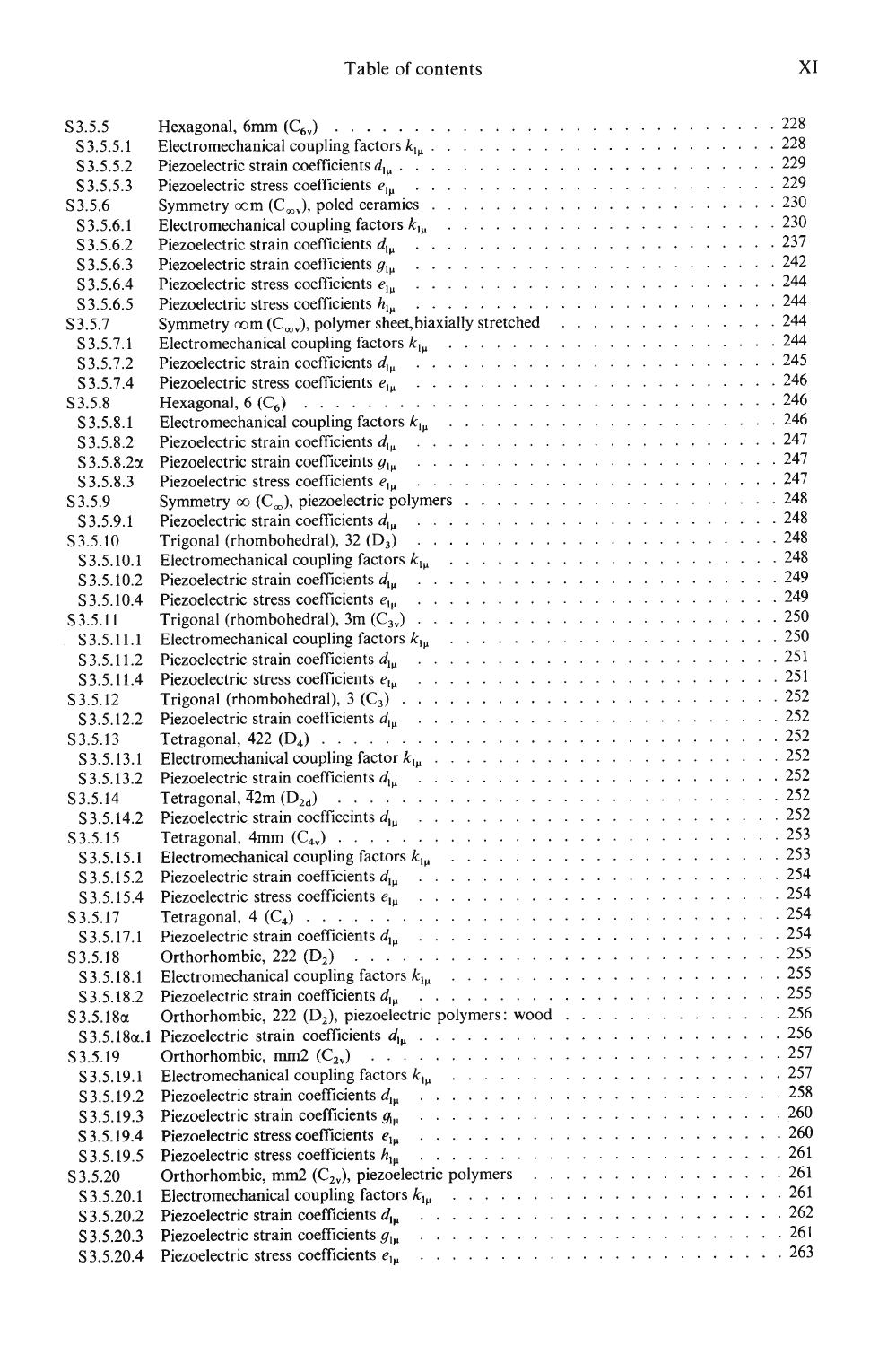| S3.5.5            |                                                                                                  |  |
|-------------------|--------------------------------------------------------------------------------------------------|--|
| S3.5.5.1          |                                                                                                  |  |
| S3.5.5.2          | Piezoelectric strain coefficients $d_{1\mu}$ .                                                   |  |
| S3.5.5.3          |                                                                                                  |  |
| S3.5.6            |                                                                                                  |  |
| S3.5.6.1          |                                                                                                  |  |
| S3.5.6.2          |                                                                                                  |  |
| S3.5.6.3          | Piezoelectric strain coefficients $g_{1u}$                                                       |  |
| S3.5.6.4          | Piezoelectric stress coefficients $e_{1u}$                                                       |  |
| S3.5.6.5          | Piezoelectric stress coefficients $h_{1u}$                                                       |  |
| S3.5.7            | Symmetry $\infty$ m (C <sub><math>\infty</math>v</sub> ), polymer sheet, biaxially stretched 244 |  |
| S3.5.7.1          |                                                                                                  |  |
| S3.5.7.2          |                                                                                                  |  |
| S3.5.7.4          |                                                                                                  |  |
| S3.5.8            |                                                                                                  |  |
| S3.5.8.1          |                                                                                                  |  |
| S3.5.8.2          |                                                                                                  |  |
|                   |                                                                                                  |  |
| $S3.5.8.2\alpha$  |                                                                                                  |  |
| S3.5.8.3          |                                                                                                  |  |
| S3.5.9            |                                                                                                  |  |
| S3.5.9.1          |                                                                                                  |  |
| S3.5.10           |                                                                                                  |  |
| S3.5.10.1         |                                                                                                  |  |
| S3.5.10.2         | Piezoelectric strain coefficients $d_{1\mu}$                                                     |  |
| S3.5.10.4         |                                                                                                  |  |
| S3.5.11           |                                                                                                  |  |
| S3.5.11.1         |                                                                                                  |  |
| S3.5.11.2         |                                                                                                  |  |
| S3.5.11.4         |                                                                                                  |  |
| S3.5.12           |                                                                                                  |  |
| S3.5.12.2         |                                                                                                  |  |
| S3.5.13           |                                                                                                  |  |
| S3.5.13.1         |                                                                                                  |  |
| S3.5.13.2         |                                                                                                  |  |
| S3.5.14           |                                                                                                  |  |
| S3.5.14.2         |                                                                                                  |  |
| S3.5.15           |                                                                                                  |  |
| S3.5.15.1         |                                                                                                  |  |
|                   |                                                                                                  |  |
| S3.5.15.2         |                                                                                                  |  |
| S3.5.15.4         |                                                                                                  |  |
| S3.5.17           |                                                                                                  |  |
| S3.5.17.1         |                                                                                                  |  |
| S3.5.18           |                                                                                                  |  |
| S3.5.18.1         |                                                                                                  |  |
| S3.5.18.2         | Piezoelectric strain coefficients $d_{1\mu}$                                                     |  |
| $S3.5.18\alpha$   | Orthorhombic, 222 (D <sub>2</sub> ), piezoelectric polymers: wood 256                            |  |
| $S3.5.18\alpha.1$ |                                                                                                  |  |
| S3.5.19           |                                                                                                  |  |
| S3.5.19.1         |                                                                                                  |  |
| S3.5.19.2         |                                                                                                  |  |
| S3.5.19.3         |                                                                                                  |  |
| S3.5.19.4         | Piezoelectric stress coefficients $e_{1\mu}$                                                     |  |
| S3.5.19.5         | Piezoelectric stress coefficients $h_{\text{lu}}$                                                |  |
| S3.5.20           | Orthorhombic, mm2 $(C_{2v})$ , piezoelectric polymers 261                                        |  |
| S3.5.20.1         |                                                                                                  |  |
| S3.5.20.2         | Piezoelectric strain coefficients $d_{1u}$                                                       |  |
| S3.5.20.3         | Piezoelectric strain coefficients $g_{1\mu}$                                                     |  |
| S3.5.20.4         | Piezoelectric stress coefficients $e_{1\mu}$                                                     |  |
|                   |                                                                                                  |  |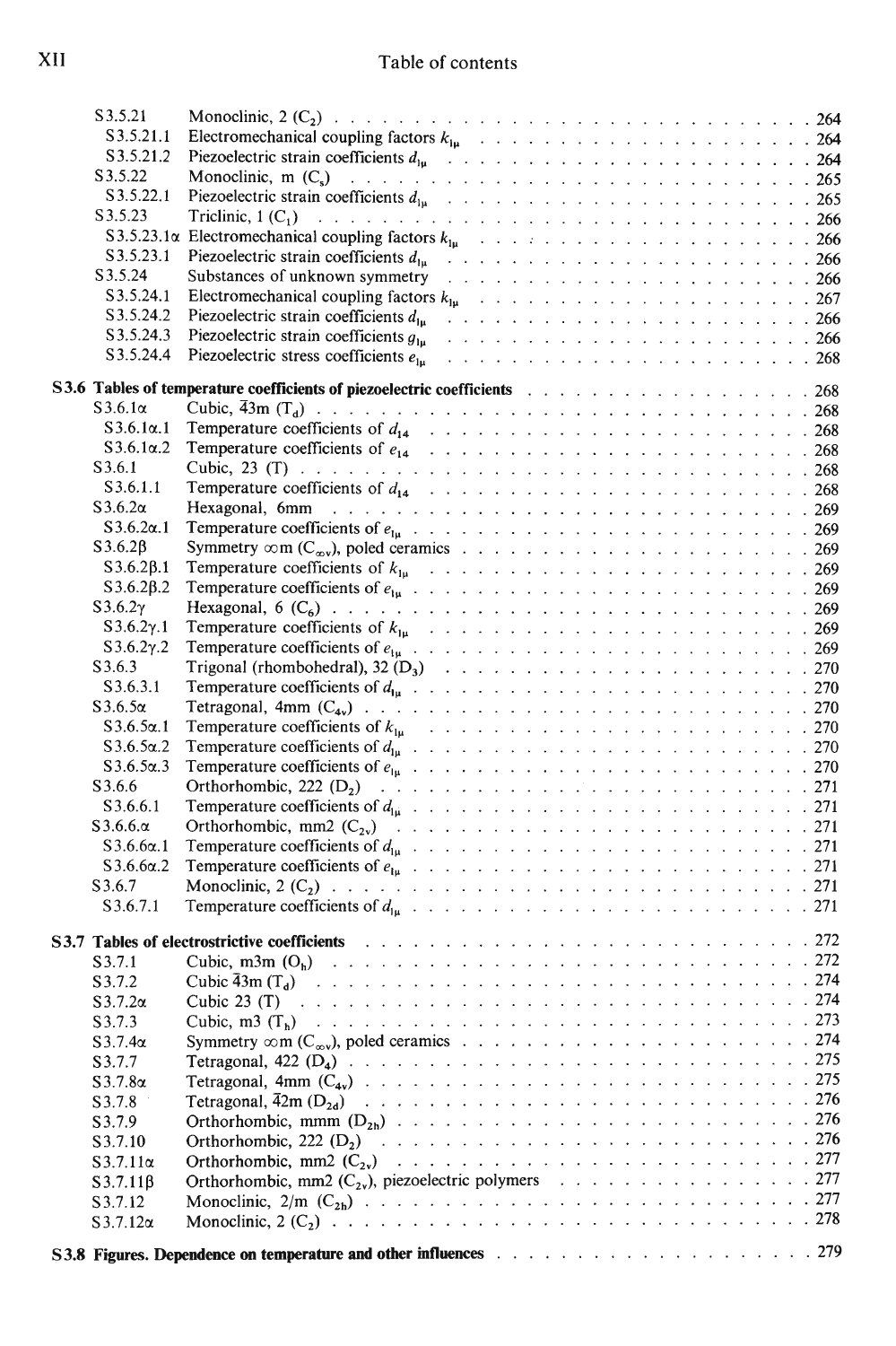| S3.5.21                    |                                                                                                                |  |
|----------------------------|----------------------------------------------------------------------------------------------------------------|--|
| S3.5.21.1                  |                                                                                                                |  |
| S3.5.21.2                  |                                                                                                                |  |
| S3.5.22                    |                                                                                                                |  |
| S3.5.22.1                  |                                                                                                                |  |
| S3.5.23                    |                                                                                                                |  |
|                            |                                                                                                                |  |
| S3.5.23.1                  | Piezoelectric strain coefficients $d_{1u}$                                                                     |  |
| S3.5.24                    | Substances of unknown symmetry                                                                                 |  |
| S3.5.24.1                  |                                                                                                                |  |
| S3.5.24.2                  | Piezoelectric strain coefficients $d_{1n}$                                                                     |  |
| S3.5.24.3                  |                                                                                                                |  |
| S3.5.24.4                  |                                                                                                                |  |
|                            | S3.6 Tables of temperature coefficients of piezoelectric coefficients response to the content of the 268       |  |
| $S3.6.1\alpha$             |                                                                                                                |  |
| $S3.6.1\alpha.1$           |                                                                                                                |  |
| $S3.6.1\alpha.2$           |                                                                                                                |  |
| S3.6.1                     |                                                                                                                |  |
| S3.6.1.1                   |                                                                                                                |  |
| $S3.6.2\alpha$             |                                                                                                                |  |
| $S3.6.2\alpha.1$           |                                                                                                                |  |
| $S3.6.2\beta$              |                                                                                                                |  |
| $S3.6.2\beta.1$            |                                                                                                                |  |
| $S3.6.2\beta.2$            |                                                                                                                |  |
| $S3.6.2\gamma$             |                                                                                                                |  |
| $S3.6.2\gamma.1$           |                                                                                                                |  |
| S3.6.2 $\gamma$ .2         |                                                                                                                |  |
| S3.6.3                     |                                                                                                                |  |
| S3.6.3.1                   |                                                                                                                |  |
| $S3.6.5\alpha$             |                                                                                                                |  |
| $S3.6.5\alpha.1$           |                                                                                                                |  |
| $S3.6.5\alpha.2$           |                                                                                                                |  |
| $S3.6.5\alpha.3$           |                                                                                                                |  |
| S3.6.6<br>S3.6.6.1         |                                                                                                                |  |
| $S3.6.6.\alpha$            |                                                                                                                |  |
| $S3.6.6\alpha.1$           |                                                                                                                |  |
| $S3.6.6\alpha.2$           |                                                                                                                |  |
| S3.6.7                     |                                                                                                                |  |
| S3.6.7.1                   |                                                                                                                |  |
|                            |                                                                                                                |  |
|                            | S3.7 Tables of electrostrictive coefficients results and the contract of the coefficients and the coefficients |  |
| S3.7.1                     |                                                                                                                |  |
| S3.7.2                     |                                                                                                                |  |
| $S3.7.2\alpha$             |                                                                                                                |  |
| S3.7.3                     |                                                                                                                |  |
| $S3.7.4\alpha$             |                                                                                                                |  |
| S3.7.7                     |                                                                                                                |  |
| $S3.7.8\alpha$             |                                                                                                                |  |
| S3.7.8                     |                                                                                                                |  |
| S3.7.9                     |                                                                                                                |  |
| S3.7.10<br>$S3.7.11\alpha$ |                                                                                                                |  |
| $S3.7.11\beta$             | Orthorhombic, mm2 $(C_{2v})$ , piezoelectric polymers 277                                                      |  |
| S3.7.12                    |                                                                                                                |  |
| $S3.7.12\alpha$            |                                                                                                                |  |
|                            |                                                                                                                |  |
|                            |                                                                                                                |  |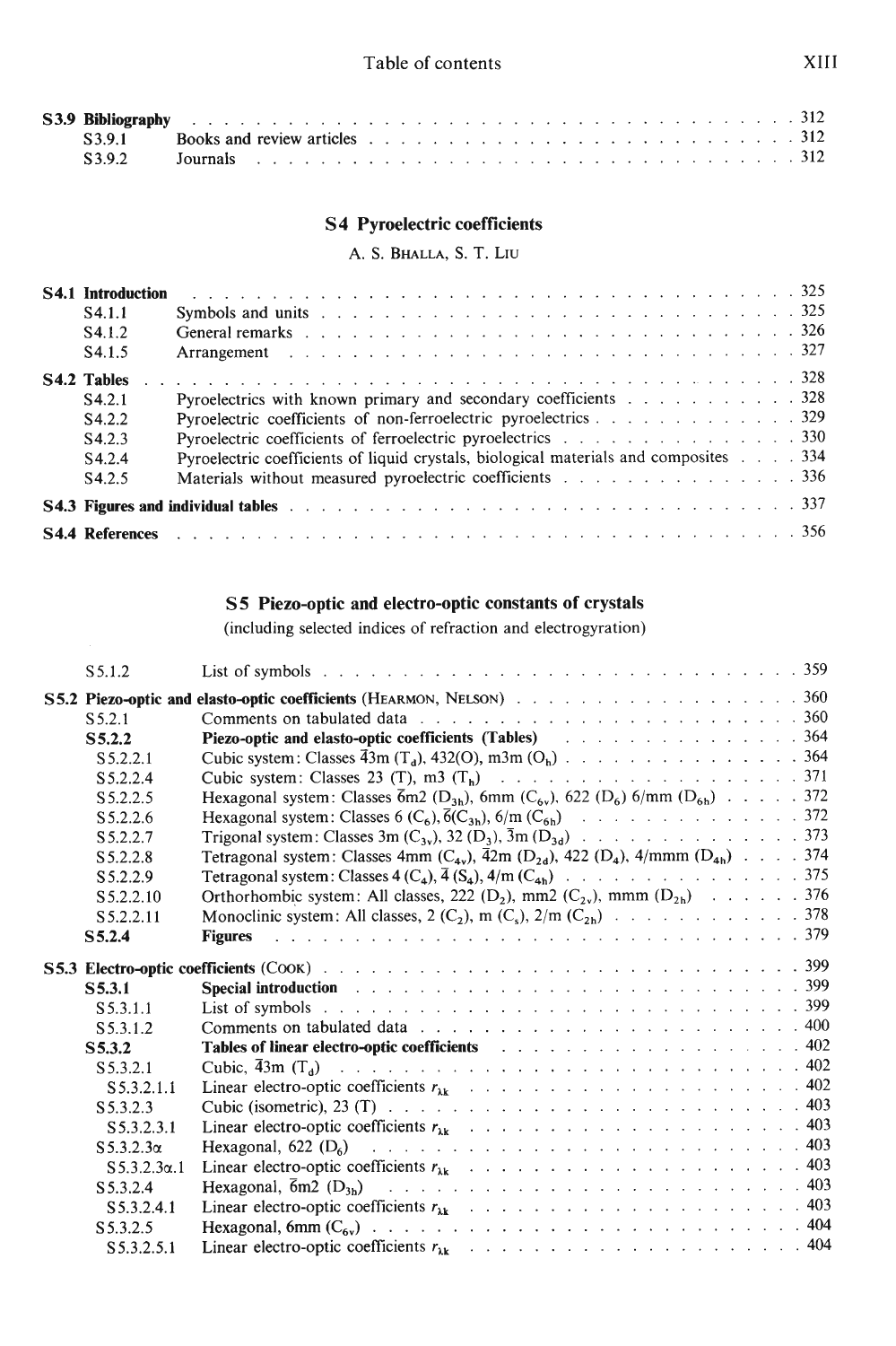|  | S3.9 Bibliography research and the contract of the contract of the contract of the contract of the contract of the contract of the contract of the contract of the contract of the contract of the contract of the contract of |  |
|--|--------------------------------------------------------------------------------------------------------------------------------------------------------------------------------------------------------------------------------|--|
|  | S3.9.1 Books and review articles $\ldots$ and $\ldots$ and $\ldots$ and $\ldots$ are $\ldots$ and $\ldots$ 312                                                                                                                 |  |
|  |                                                                                                                                                                                                                                |  |

#### S4 Pyroelectric coefficients

A. S. Bhalla, S. T. Liu

| <b>S4.1 Introduction</b> |                                                                                                                                                                                                                                |
|--------------------------|--------------------------------------------------------------------------------------------------------------------------------------------------------------------------------------------------------------------------------|
| S <sub>4.1.1</sub>       |                                                                                                                                                                                                                                |
| S4.1.2                   | General remarks response to the contract of the contract of the contract of the contract of the contract of the contract of the contract of the contract of the contract of the contract of the contract of the contract of th |
| S4.1.5                   |                                                                                                                                                                                                                                |
| <b>S4.2 Tables</b>       |                                                                                                                                                                                                                                |
| S4.2.1                   | Pyroelectrics with known primary and secondary coefficients $\ldots$ ,  328                                                                                                                                                    |
| S <sub>4.2.2</sub>       | Pyroelectric coefficients of non-ferroelectric pyroelectrics 329                                                                                                                                                               |
| S <sub>4.2</sub> .3      | Pyroelectric coefficients of ferroelectric pyroelectrics 330                                                                                                                                                                   |
| S <sub>4.2.4</sub>       | Pyroelectric coefficients of liquid crystals, biological materials and composites 334                                                                                                                                          |
| S <sub>4.2.5</sub>       | Materials without measured pyroelectric coefficients 336                                                                                                                                                                       |
|                          |                                                                                                                                                                                                                                |
|                          |                                                                                                                                                                                                                                |

#### S5 Piezo-optic and electro-optic constants of crystals

(including selected indices of refraction and electrogyration)

| S5.1.2               |                                                                                                                                                                                                                                |  |
|----------------------|--------------------------------------------------------------------------------------------------------------------------------------------------------------------------------------------------------------------------------|--|
|                      | S5.2 Piezo-optic and elasto-optic coefficients (HEARMON, NELSON) 360                                                                                                                                                           |  |
| S 5.2.1              | Comments on tabulated data response to the contract of the contract of the contract of the contract of the contract of the contract of the contract of the contract of the contract of the contract of the contract of the con |  |
| S5.2.2               | Piezo-optic and elasto-optic coefficients (Tables) And Albert Albert Albert Albert Albert Albert Albert Albert                                                                                                                 |  |
| S 5.2.2.1            | Cubic system: Classes $\overline{4}3m(T_d)$ , 432(O), m $3m(O_h)$ . 364                                                                                                                                                        |  |
| S5.2.2.4             |                                                                                                                                                                                                                                |  |
| S 5.2.2.5            | Hexagonal system: Classes $\bar{6}$ m2 (D <sub>3b</sub> ), 6mm (C <sub>6v</sub> ), 622 (D <sub>6</sub> ) 6/mm (D <sub>6b</sub> ) 372                                                                                           |  |
| S5.2.2.6             | Hexagonal system: Classes 6 (C <sub>6</sub> ), $\bar{6}$ (C <sub>3h</sub> ), $6/m$ (C <sub>6h</sub> ) 372                                                                                                                      |  |
| S 5.2.2.7            |                                                                                                                                                                                                                                |  |
| S 5.2.2.8            | Tetragonal system: Classes 4mm (C <sub>4v</sub> ), $\bar{4}2m$ (D <sub>2d</sub> ), 422 (D <sub>4</sub> ), 4/mmm (D <sub>4h</sub> ) 374                                                                                         |  |
| S5.2.2.9             |                                                                                                                                                                                                                                |  |
| S 5.2.2.10           | Orthorhombic system: All classes, 222 (D <sub>2</sub> ), mm2 (C <sub>2v</sub> ), mmm (D <sub>2h</sub> ) 376                                                                                                                    |  |
| S5.2.2.11            |                                                                                                                                                                                                                                |  |
| S5.2.4               | <b>Figures</b>                                                                                                                                                                                                                 |  |
|                      |                                                                                                                                                                                                                                |  |
| S5.3.1               | Special introduction and a subsequently and a subsequently and subsequently set of the set of the set of the s                                                                                                                 |  |
| S 5.3.1.1            |                                                                                                                                                                                                                                |  |
| S 5.3.1.2            |                                                                                                                                                                                                                                |  |
| S5.3.2               | Tables of linear electro-optic coefficients and the contract of the contract of the state of the state of the state of the state of the state of the state of the state of the state of the state of the state of the state of |  |
| S 5.3.2.1            |                                                                                                                                                                                                                                |  |
| S 5.3.2.1.1          |                                                                                                                                                                                                                                |  |
| S 5.3.2.3            |                                                                                                                                                                                                                                |  |
| S 5.3.2.3.1          |                                                                                                                                                                                                                                |  |
| $S$ 5.3.2.3 $\alpha$ |                                                                                                                                                                                                                                |  |
| $S5.3.2.3\alpha.1$   |                                                                                                                                                                                                                                |  |
| S 5.3.2.4            |                                                                                                                                                                                                                                |  |
| S5.3.2.4.1           |                                                                                                                                                                                                                                |  |
| S 5.3.2.5            |                                                                                                                                                                                                                                |  |
| S5.3.2.5.1           |                                                                                                                                                                                                                                |  |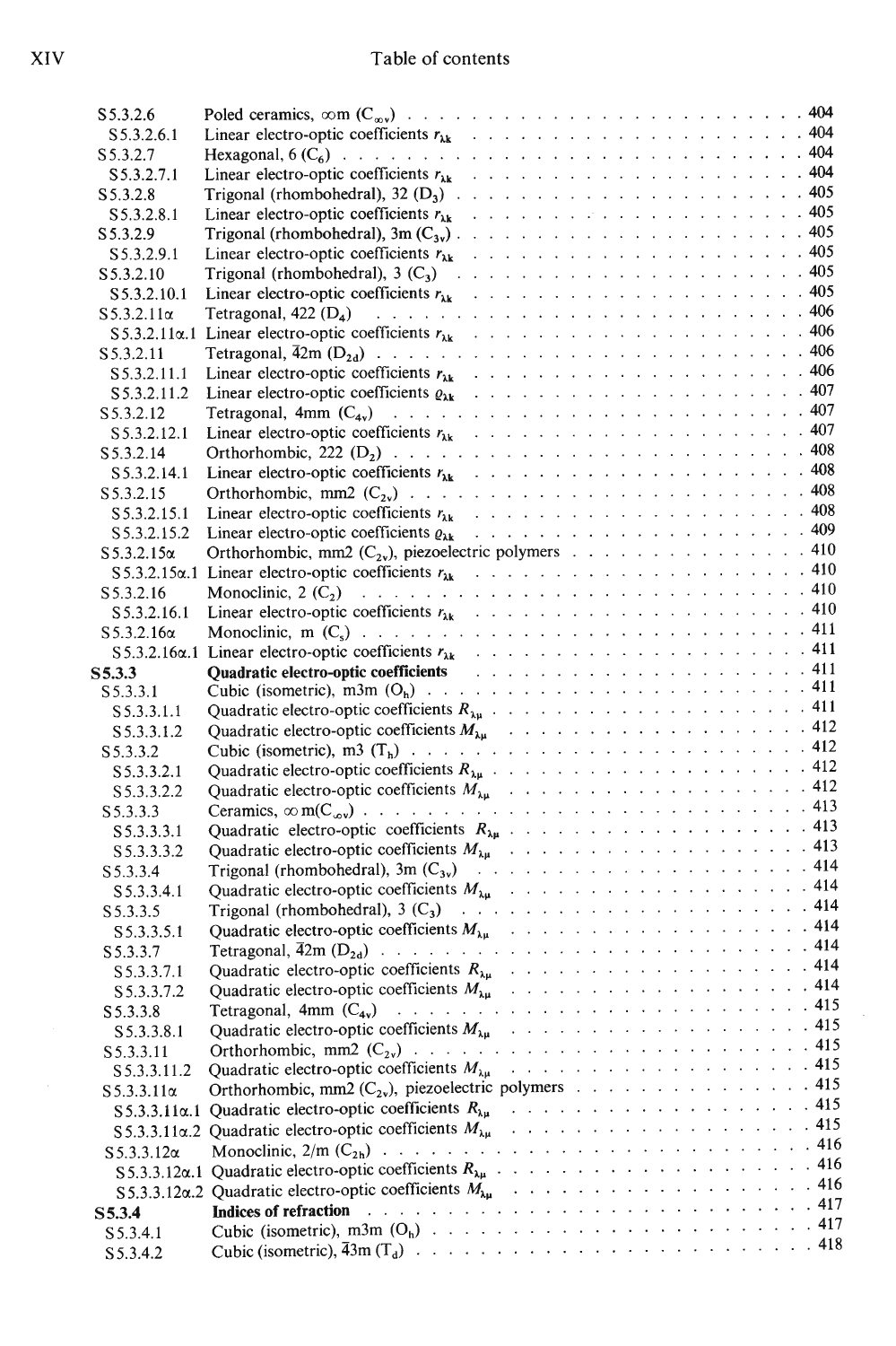# Table of contents

| S5.3.2.6              |                                                                                                                                                                                                                                |  |
|-----------------------|--------------------------------------------------------------------------------------------------------------------------------------------------------------------------------------------------------------------------------|--|
| S 5.3.2.6.1           |                                                                                                                                                                                                                                |  |
| S 5.3.2.7             |                                                                                                                                                                                                                                |  |
| S5.3.2.7.1            |                                                                                                                                                                                                                                |  |
| S 5.3.2.8             |                                                                                                                                                                                                                                |  |
| S5.3.2.8.1            |                                                                                                                                                                                                                                |  |
| S5.3.2.9              |                                                                                                                                                                                                                                |  |
| S5.3.2.9.1            |                                                                                                                                                                                                                                |  |
| S 5.3.2.10            |                                                                                                                                                                                                                                |  |
| S 5.3.2.10.1          |                                                                                                                                                                                                                                |  |
| $S$ 5.3.2.11 $\alpha$ |                                                                                                                                                                                                                                |  |
|                       |                                                                                                                                                                                                                                |  |
| S 5.3.2.11            |                                                                                                                                                                                                                                |  |
| S5.3.2.11.1           |                                                                                                                                                                                                                                |  |
| S 5.3.2.11.2          |                                                                                                                                                                                                                                |  |
| S 5.3.2.12            |                                                                                                                                                                                                                                |  |
| S 5.3.2.12.1          |                                                                                                                                                                                                                                |  |
| S 5.3.2.14            |                                                                                                                                                                                                                                |  |
| S5.3.2.14.1           |                                                                                                                                                                                                                                |  |
| S 5.3.2.15            |                                                                                                                                                                                                                                |  |
| S5.3.2.15.1           |                                                                                                                                                                                                                                |  |
| S5.3.2.15.2           |                                                                                                                                                                                                                                |  |
| $S\,5.3.2.15\alpha$   | Orthorhombic, mm2 $(C_{2v})$ , piezoelectric polymers 410                                                                                                                                                                      |  |
|                       |                                                                                                                                                                                                                                |  |
| S 5.3.2.16            |                                                                                                                                                                                                                                |  |
| S5.3.2.16.1           |                                                                                                                                                                                                                                |  |
| $S$ 5.3.2.16 $\alpha$ |                                                                                                                                                                                                                                |  |
|                       |                                                                                                                                                                                                                                |  |
| S5.3.3                | Quadratic electro-optic coefficients enterstanding to the contract of the contract of the contract of the contract of the contract of the contract of the contract of the contract of the contract of the contract of the cont |  |
| S 5.3.3.1             |                                                                                                                                                                                                                                |  |
| S5.3.3.1.1            |                                                                                                                                                                                                                                |  |
| S 5.3.3.1.2           |                                                                                                                                                                                                                                |  |
| S 5.3.3.2             |                                                                                                                                                                                                                                |  |
| S5.3.3.2.1            |                                                                                                                                                                                                                                |  |
| S5.3.3.2.2            |                                                                                                                                                                                                                                |  |
| S5.3.3.3              |                                                                                                                                                                                                                                |  |
| S5.3.3.3.1            |                                                                                                                                                                                                                                |  |
| S5.3.3.3.2            |                                                                                                                                                                                                                                |  |
| S 5.3.3.4             |                                                                                                                                                                                                                                |  |
| S5.3.3.4.1            |                                                                                                                                                                                                                                |  |
| S 5.3.3.5             |                                                                                                                                                                                                                                |  |
| S5.3.3.5.1            |                                                                                                                                                                                                                                |  |
| S 5.3.3.7             |                                                                                                                                                                                                                                |  |
| S 5.3.3.7.1           |                                                                                                                                                                                                                                |  |
| S5.3.3.7.2            |                                                                                                                                                                                                                                |  |
| S 5.3.3.8             |                                                                                                                                                                                                                                |  |
| S5.3.3.8.1            |                                                                                                                                                                                                                                |  |
| S 5.3.3.11            |                                                                                                                                                                                                                                |  |
| S5.3.3.11.2           |                                                                                                                                                                                                                                |  |
| $S$ 5.3.3.11 $\alpha$ | Orthorhombic, mm2 $(C_{2v})$ , piezoelectric polymers 415                                                                                                                                                                      |  |
| $S 5.3.3.11 \alpha.1$ |                                                                                                                                                                                                                                |  |
|                       |                                                                                                                                                                                                                                |  |
| $S$ 5.3.3.12 $\alpha$ |                                                                                                                                                                                                                                |  |
|                       |                                                                                                                                                                                                                                |  |
|                       |                                                                                                                                                                                                                                |  |
| S5.3.4                | <b>Indices of refraction</b>                                                                                                                                                                                                   |  |
| S 5.3.4.1             |                                                                                                                                                                                                                                |  |
| S 5.3.4.2             |                                                                                                                                                                                                                                |  |

 $\bar{\gamma}$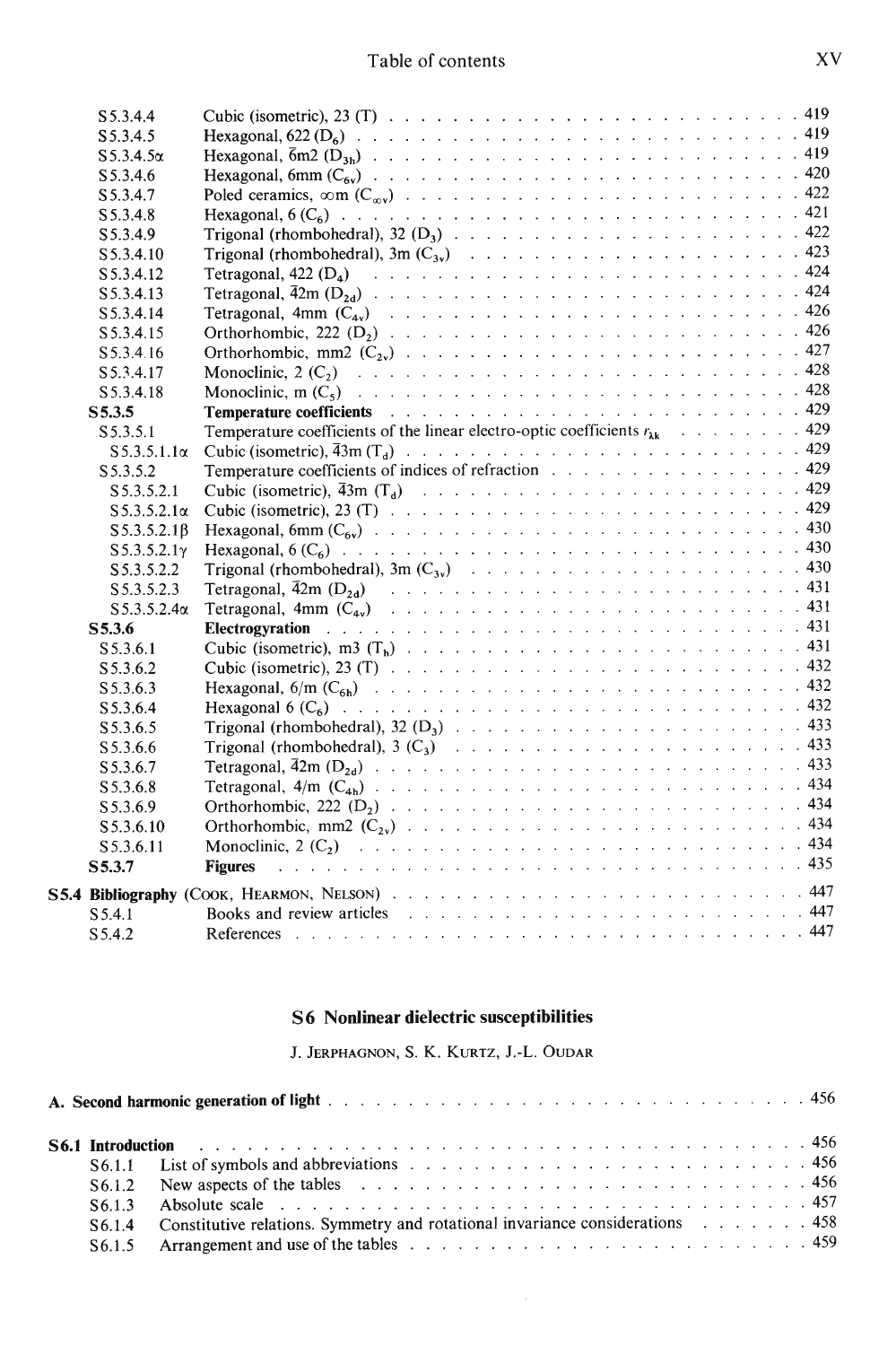## Table of contents

| S 5.3.4.4              |                                                                                                                                                                                                                                |  |
|------------------------|--------------------------------------------------------------------------------------------------------------------------------------------------------------------------------------------------------------------------------|--|
| S 5.3.4.5              |                                                                                                                                                                                                                                |  |
| $S5.3.4.5\alpha$       |                                                                                                                                                                                                                                |  |
| S 5.3.4.6              |                                                                                                                                                                                                                                |  |
| S 5.3.4.7              |                                                                                                                                                                                                                                |  |
| S 5.3.4.8              |                                                                                                                                                                                                                                |  |
| S5.3.4.9               |                                                                                                                                                                                                                                |  |
| S 5.3.4.10             |                                                                                                                                                                                                                                |  |
| S 5.3.4.12             |                                                                                                                                                                                                                                |  |
| S 5.3.4.13             |                                                                                                                                                                                                                                |  |
| S5.3.4.14              |                                                                                                                                                                                                                                |  |
| S 5.3.4.15             |                                                                                                                                                                                                                                |  |
| S 5.3.4.16             |                                                                                                                                                                                                                                |  |
| S 5.3.4.17             |                                                                                                                                                                                                                                |  |
| S 5.3.4.18             |                                                                                                                                                                                                                                |  |
| S5.3.5                 | Temperature coefficients and a substitution of the substitution of the state of the state of the state of the state of the state of the state of the state of the state of the state of the state of the state of the state of |  |
| S5.3.5.1               | Temperature coefficients of the linear electro-optic coefficients $r_{\lambda k}$ 429                                                                                                                                          |  |
| $S$ 5.3.5.1.1 $\alpha$ |                                                                                                                                                                                                                                |  |
| S 5.3.5.2              | Temperature coefficients of indices of refraction 429                                                                                                                                                                          |  |
| S5.3.5.2.1             |                                                                                                                                                                                                                                |  |
| $S5.3.5.2.1\alpha$     |                                                                                                                                                                                                                                |  |
| $S5.3.5.2.1\beta$      |                                                                                                                                                                                                                                |  |
| $S5.3.5.2.1\gamma$     |                                                                                                                                                                                                                                |  |
| S5.3.5.2.2             |                                                                                                                                                                                                                                |  |
| S 5.3.5.2.3            |                                                                                                                                                                                                                                |  |
| $S 5.3.5.2.4\alpha$    |                                                                                                                                                                                                                                |  |
| S5.3.6                 |                                                                                                                                                                                                                                |  |
| S 5.3.6.1              |                                                                                                                                                                                                                                |  |
| S 5.3.6.2              |                                                                                                                                                                                                                                |  |
| S 5.3.6.3              |                                                                                                                                                                                                                                |  |
| S5.3.6.4               |                                                                                                                                                                                                                                |  |
| S5.3.6.5               |                                                                                                                                                                                                                                |  |
| S 5.3.6.6              |                                                                                                                                                                                                                                |  |
| S 5.3.6.7              |                                                                                                                                                                                                                                |  |
| S5.3.6.8               |                                                                                                                                                                                                                                |  |
| S 5.3.6.9              |                                                                                                                                                                                                                                |  |
| S 5.3.6.10             |                                                                                                                                                                                                                                |  |
| S5.3.6.11              |                                                                                                                                                                                                                                |  |
| S5.3.7                 | <b>Figures</b>                                                                                                                                                                                                                 |  |
|                        |                                                                                                                                                                                                                                |  |
| S5.4.1                 | Books and review articles enterstated by the contract of the contract of the state of the state of the state of the state of the state of the state of the state of the state of the state of the state of the state of the st |  |
| S5.4.2                 |                                                                                                                                                                                                                                |  |
|                        |                                                                                                                                                                                                                                |  |

#### S6 Nonlinear dielectric susceptibilities

J. Jerphagnon, S. K. Kurtz, J.-L. Oudar

|  |                    | <b>S6.1 Introduction contained a set of the set of the set of the set of the set of the set of the set of the set of the set of the set of the set of the set of the set of the set of the set of the set of the set of the se</b> |  |  |  |
|--|--------------------|------------------------------------------------------------------------------------------------------------------------------------------------------------------------------------------------------------------------------------|--|--|--|
|  |                    |                                                                                                                                                                                                                                    |  |  |  |
|  |                    |                                                                                                                                                                                                                                    |  |  |  |
|  | S <sub>6.1.3</sub> | Absolute scale entry example and the scale of the contract of the scale of the scale of the scale of the scale of the scale of the scale of the scale of the scale of the scale of the scale of the scale of the scale of the      |  |  |  |
|  | S <sub>6.1.4</sub> | Constitutive relations. Symmetry and rotational invariance considerations 458                                                                                                                                                      |  |  |  |
|  | S6.1.5             | Arrangement and use of the tables response is a response of the tables response in the contract of the tables                                                                                                                      |  |  |  |